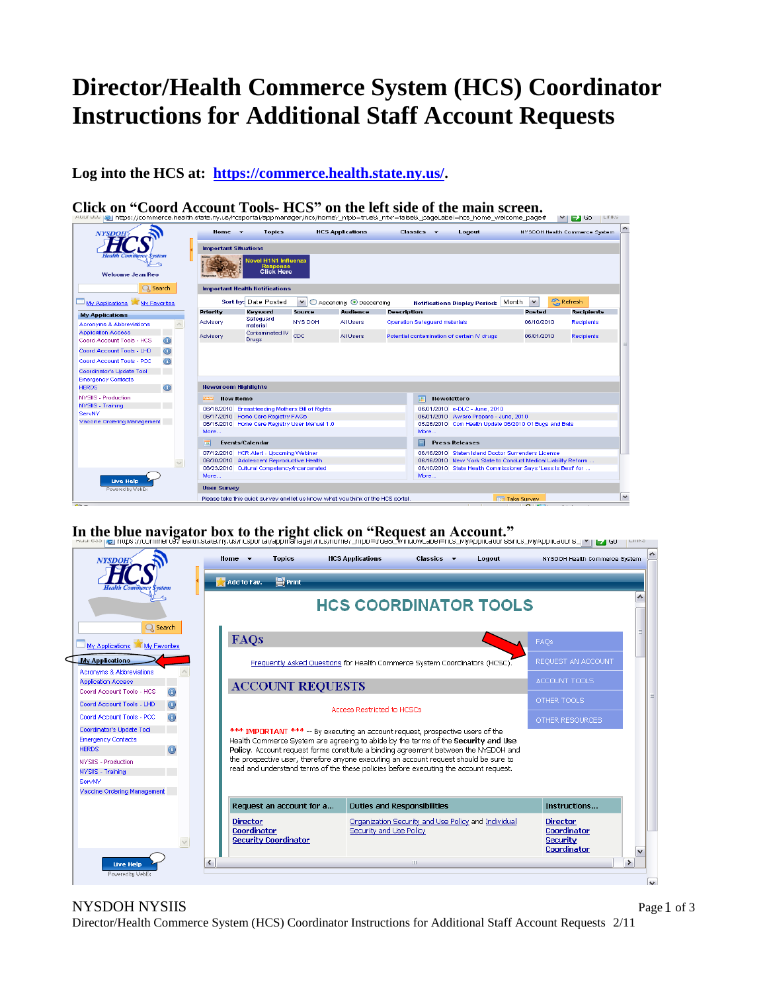## **Director/Health Commerce System (HCS) Coordinator Instructions for Additional Staff Account Requests**

**Log into the HCS at: [https://commerce.health.state.ny.us/.](https://commerce.health.state.ny.us/)**

**Click on "Coord Account Tools- HCS" on the left side of the main screen.**



## In the blue navigator box to the right click on "Request an Account."<br>**In the blue navigator box** to the right allows and the structure of the structure of the second structure of the s



NYSDOH NYSIIS

Director/Health Commerce System (HCS) Coordinator Instructions for Additional Staff Account Requests 2/11

Page 1 of 3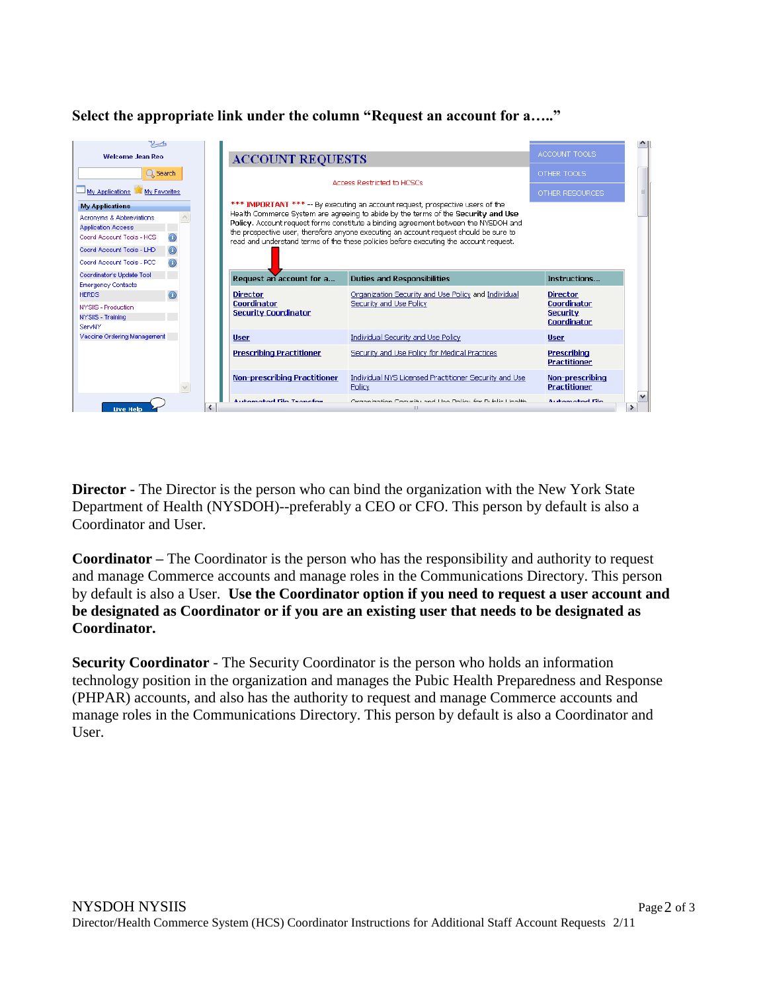## **Select the appropriate link under the column "Request an account for a….."**

| <b>Welcome Jean Reo</b>                                                                                                                                                     | <b>ACCOUNT REQUESTS</b>                                                                                                                                                                                                                                                                                                                                                                                                                      |                                                                                | ACCOUNT TOOLS                                                    |   |
|-----------------------------------------------------------------------------------------------------------------------------------------------------------------------------|----------------------------------------------------------------------------------------------------------------------------------------------------------------------------------------------------------------------------------------------------------------------------------------------------------------------------------------------------------------------------------------------------------------------------------------------|--------------------------------------------------------------------------------|------------------------------------------------------------------|---|
| $\alpha$ Search                                                                                                                                                             | Access Restricted to HCSCs                                                                                                                                                                                                                                                                                                                                                                                                                   |                                                                                | OTHER TOOLS                                                      |   |
| My Applications My Favorites                                                                                                                                                |                                                                                                                                                                                                                                                                                                                                                                                                                                              |                                                                                | OTHER RESOURCES.                                                 | 目 |
| <b>My Applications</b><br>Acronyms & Abbreviations<br><b>Application Access</b><br>Coord Account Tools - HCS<br>Coord Account Tools - LHD<br>Coord Account Tools - PCC<br>0 | *** IMPORTANT *** -- By executing an account request, prospective users of the<br>Health Commerce System are agreeing to abide by the terms of the Security and Use<br>Policy. Account request forms constitute a binding agreement between the NYSDOH and<br>the prospective user, therefore anyone executing an account request should be sure to<br>read and understand terms of the these policies before executing the account request. |                                                                                |                                                                  |   |
| Coordinator's Update Tool<br><b>Emergency Contacts</b>                                                                                                                      | Request an account for a                                                                                                                                                                                                                                                                                                                                                                                                                     | <b>Duties and Responsibilities</b>                                             | Instructions                                                     |   |
| $\odot$<br><b>HERDS</b><br>NYSIIS - Production<br>NYSIIS - Training<br>ServNY                                                                                               | <b>Director</b><br>Coordinator<br><b>Security Coordinator</b>                                                                                                                                                                                                                                                                                                                                                                                | Organization Security and Use Policy and Individual<br>Security and Use Policy | <b>Director</b><br>Coordinator<br><b>Security</b><br>Coordinator |   |
| Vaccine Ordering Management                                                                                                                                                 | <b>User</b>                                                                                                                                                                                                                                                                                                                                                                                                                                  | <b>Individual Security and Use Policy</b>                                      | <b>User</b>                                                      |   |
|                                                                                                                                                                             | <b>Prescribing Practitioner</b>                                                                                                                                                                                                                                                                                                                                                                                                              | Security and Use Policy for Medical Practices                                  | <b>Prescribing</b><br>Practitioner                               |   |
|                                                                                                                                                                             | Non-prescribing Practitioner                                                                                                                                                                                                                                                                                                                                                                                                                 | Individual NYS Licensed Practitioner Security and Use<br>Policy                | Non-prescribing<br>Practitioner                                  |   |
| Live Help                                                                                                                                                                   | Automated File Transfer                                                                                                                                                                                                                                                                                                                                                                                                                      | Organization Coqueillu and Llos Dollar for Dublic Llosific<br>Ш                | <b>Automotive Film</b>                                           |   |

**Director -** The Director is the person who can bind the organization with the New York State Department of Health (NYSDOH)--preferably a CEO or CFO. This person by default is also a Coordinator and User.

**Coordinator –** The Coordinator is the person who has the responsibility and authority to request and manage Commerce accounts and manage roles in the Communications Directory. This person by default is also a User. **Use the Coordinator option if you need to request a user account and be designated as Coordinator or if you are an existing user that needs to be designated as Coordinator.**

**Security Coordinator** - The Security Coordinator is the person who holds an information technology position in the organization and manages the Pubic Health Preparedness and Response (PHPAR) accounts, and also has the authority to request and manage Commerce accounts and manage roles in the Communications Directory. This person by default is also a Coordinator and User.